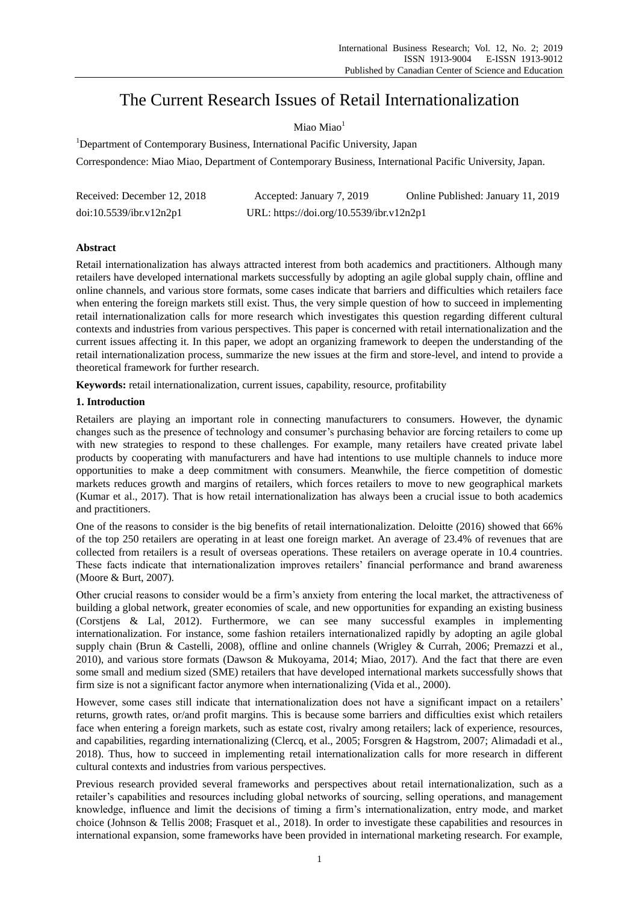# The Current Research Issues of Retail Internationalization

Miao Miao<sup>1</sup>

<sup>1</sup>Department of Contemporary Business, International Pacific University, Japan

Correspondence: Miao Miao, Department of Contemporary Business, International Pacific University, Japan.

| Received: December 12, 2018 | Accepted: January 7, 2019                | Online Published: January 11, 2019 |
|-----------------------------|------------------------------------------|------------------------------------|
| doi:10.5539/ibr.v12n2p1     | URL: https://doi.org/10.5539/ibr.v12n2p1 |                                    |

## **Abstract**

Retail internationalization has always attracted interest from both academics and practitioners. Although many retailers have developed international markets successfully by adopting an agile global supply chain, offline and online channels, and various store formats, some cases indicate that barriers and difficulties which retailers face when entering the foreign markets still exist. Thus, the very simple question of how to succeed in implementing retail internationalization calls for more research which investigates this question regarding different cultural contexts and industries from various perspectives. This paper is concerned with retail internationalization and the current issues affecting it. In this paper, we adopt an organizing framework to deepen the understanding of the retail internationalization process, summarize the new issues at the firm and store-level, and intend to provide a theoretical framework for further research.

**Keywords:** retail internationalization, current issues, capability, resource, profitability

## **1. Introduction**

Retailers are playing an important role in connecting manufacturers to consumers. However, the dynamic changes such as the presence of technology and consumer's purchasing behavior are forcing retailers to come up with new strategies to respond to these challenges. For example, many retailers have created private label products by cooperating with manufacturers and have had intentions to use multiple channels to induce more opportunities to make a deep commitment with consumers. Meanwhile, the fierce competition of domestic markets reduces growth and margins of retailers, which forces retailers to move to new geographical markets (Kumar et al., 2017). That is how retail internationalization has always been a crucial issue to both academics and practitioners.

One of the reasons to consider is the big benefits of retail internationalization. Deloitte (2016) showed that 66% of the top 250 retailers are operating in at least one foreign market. An average of 23.4% of revenues that are collected from retailers is a result of overseas operations. These retailers on average operate in 10.4 countries. These facts indicate that internationalization improves retailers' financial performance and brand awareness (Moore & Burt, 2007).

Other crucial reasons to consider would be a firm's anxiety from entering the local market, the attractiveness of building a global network, greater economies of scale, and new opportunities for expanding an existing business (Corstjens & Lal, 2012). Furthermore, we can see many successful examples in implementing internationalization. For instance, some fashion retailers internationalized rapidly by adopting an agile global supply chain (Brun & Castelli, 2008), offline and online channels (Wrigley & Currah, 2006; Premazzi et al., 2010), and various store formats (Dawson & Mukoyama, 2014; Miao, 2017). And the fact that there are even some small and medium sized (SME) retailers that have developed international markets successfully shows that firm size is not a significant factor anymore when internationalizing (Vida et al., 2000).

However, some cases still indicate that internationalization does not have a significant impact on a retailers' returns, growth rates, or/and profit margins. This is because some barriers and difficulties exist which retailers face when entering a foreign markets, such as estate cost, rivalry among retailers; lack of experience, resources, and capabilities, regarding internationalizing (Clercq, et al., 2005; Forsgren & Hagstrom, 2007; Alimadadi et al., 2018). Thus, how to succeed in implementing retail internationalization calls for more research in different cultural contexts and industries from various perspectives.

Previous research provided several frameworks and perspectives about retail internationalization, such as a retailer's capabilities and resources including global networks of sourcing, selling operations, and management knowledge, influence and limit the decisions of timing a firm's internationalization, entry mode, and market choice (Johnson & Tellis 2008; Frasquet et al., 2018). In order to investigate these capabilities and resources in international expansion, some frameworks have been provided in international marketing research. For example,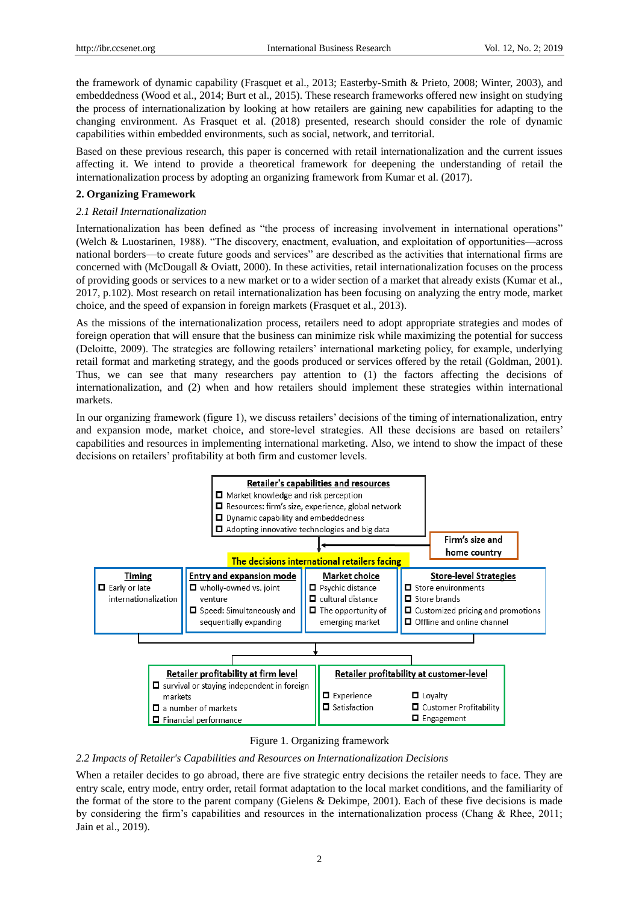the framework of dynamic capability (Frasquet et al., 2013; Easterby-Smith & Prieto, 2008; Winter, 2003), and embeddedness (Wood et al., 2014; Burt et al., 2015). These research frameworks offered new insight on studying the process of internationalization by looking at how retailers are gaining new capabilities for adapting to the changing environment. As Frasquet et al. (2018) presented, research should consider the role of dynamic capabilities within embedded environments, such as social, network, and territorial.

Based on these previous research, this paper is concerned with retail internationalization and the current issues affecting it. We intend to provide a theoretical framework for deepening the understanding of retail the internationalization process by adopting an organizing framework from Kumar et al. (2017).

### **2. Organizing Framework**

#### *2.1 Retail Internationalization*

Internationalization has been defined as "the process of increasing involvement in international operations" (Welch & Luostarinen, 1988). "The discovery, enactment, evaluation, and exploitation of opportunities—across national borders—to create future goods and services" are described as the activities that international firms are concerned with (McDougall & Oviatt, 2000). In these activities, retail internationalization focuses on the process of providing goods or services to a new market or to a wider section of a market that already exists (Kumar et al., 2017, p.102). Most research on retail internationalization has been focusing on analyzing the entry mode, market choice, and the speed of expansion in foreign markets (Frasquet et al., 2013).

As the missions of the internationalization process, retailers need to adopt appropriate strategies and modes of foreign operation that will ensure that the business can minimize risk while maximizing the potential for success (Deloitte, 2009). The strategies are following retailers' international marketing policy, for example, underlying retail format and marketing strategy, and the goods produced or services offered by the retail (Goldman, 2001). Thus, we can see that many researchers pay attention to (1) the factors affecting the decisions of internationalization, and (2) when and how retailers should implement these strategies within international markets.

In our organizing framework (figure 1), we discuss retailers' decisions of the timing of internationalization, entry and expansion mode, market choice, and store-level strategies. All these decisions are based on retailers' capabilities and resources in implementing international marketing. Also, we intend to show the impact of these decisions on retailers' profitability at both firm and customer levels.



#### Figure 1. Organizing framework

#### *2.2 Impacts of Retailer's Capabilities and Resources on Internationalization Decisions*

When a retailer decides to go abroad, there are five strategic entry decisions the retailer needs to face. They are entry scale, entry mode, entry order, retail format adaptation to the local market conditions, and the familiarity of the format of the store to the parent company (Gielens & Dekimpe, 2001). Each of these five decisions is made by considering the firm's capabilities and resources in the internationalization process (Chang & Rhee, 2011; Jain et al., 2019).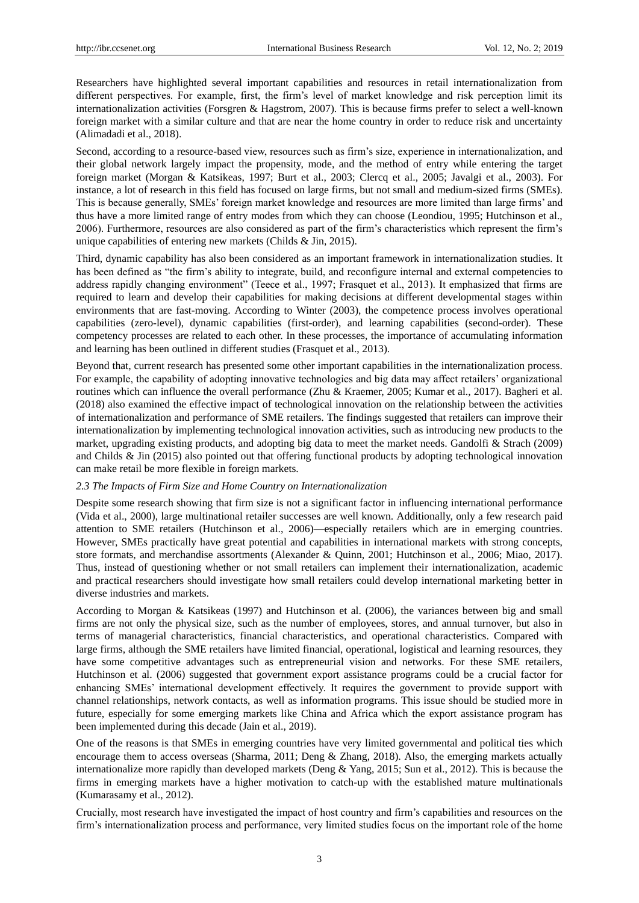Researchers have highlighted several important capabilities and resources in retail internationalization from different perspectives. For example, first, the firm's level of market knowledge and risk perception limit its internationalization activities (Forsgren & Hagstrom, 2007). This is because firms prefer to select a well-known foreign market with a similar culture and that are near the home country in order to reduce risk and uncertainty (Alimadadi et al., 2018).

Second, according to a resource-based view, resources such as firm's size, experience in internationalization, and their global network largely impact the propensity, mode, and the method of entry while entering the target foreign market (Morgan & Katsikeas, 1997; Burt et al., 2003; Clercq et al., 2005; Javalgi et al., 2003). For instance, a lot of research in this field has focused on large firms, but not small and medium-sized firms (SMEs). This is because generally, SMEs' foreign market knowledge and resources are more limited than large firms' and thus have a more limited range of entry modes from which they can choose (Leondiou, 1995; Hutchinson et al., 2006). Furthermore, resources are also considered as part of the firm's characteristics which represent the firm's unique capabilities of entering new markets (Childs & Jin, 2015).

Third, dynamic capability has also been considered as an important framework in internationalization studies. It has been defined as "the firm's ability to integrate, build, and reconfigure internal and external competencies to address rapidly changing environment" (Teece et al., 1997; Frasquet et al., 2013). It emphasized that firms are required to learn and develop their capabilities for making decisions at different developmental stages within environments that are fast-moving. According to Winter (2003), the competence process involves operational capabilities (zero-level), dynamic capabilities (first-order), and learning capabilities (second-order). These competency processes are related to each other. In these processes, the importance of accumulating information and learning has been outlined in different studies (Frasquet et al., 2013).

Beyond that, current research has presented some other important capabilities in the internationalization process. For example, the capability of adopting innovative technologies and big data may affect retailers' organizational routines which can influence the overall performance (Zhu & Kraemer, 2005; Kumar et al., 2017). Bagheri et al. (2018) also examined the effective impact of technological innovation on the relationship between the activities of internationalization and performance of SME retailers. The findings suggested that retailers can improve their internationalization by implementing technological innovation activities, such as introducing new products to the market, upgrading existing products, and adopting big data to meet the market needs. Gandolfi & Strach (2009) and Childs & Jin (2015) also pointed out that offering functional products by adopting technological innovation can make retail be more flexible in foreign markets.

#### *2.3 The Impacts of Firm Size and Home Country on Internationalization*

Despite some research showing that firm size is not a significant factor in influencing international performance (Vida et al., 2000), large multinational retailer successes are well known. Additionally, only a few research paid attention to SME retailers (Hutchinson et al., 2006)—especially retailers which are in emerging countries. However, SMEs practically have great potential and capabilities in international markets with strong concepts, store formats, and merchandise assortments (Alexander & Quinn, 2001; Hutchinson et al., 2006; Miao, 2017). Thus, instead of questioning whether or not small retailers can implement their internationalization, academic and practical researchers should investigate how small retailers could develop international marketing better in diverse industries and markets.

According to Morgan & Katsikeas (1997) and Hutchinson et al. (2006), the variances between big and small firms are not only the physical size, such as the number of employees, stores, and annual turnover, but also in terms of managerial characteristics, financial characteristics, and operational characteristics. Compared with large firms, although the SME retailers have limited financial, operational, logistical and learning resources, they have some competitive advantages such as entrepreneurial vision and networks. For these SME retailers, Hutchinson et al. (2006) suggested that government export assistance programs could be a crucial factor for enhancing SMEs' international development effectively. It requires the government to provide support with channel relationships, network contacts, as well as information programs. This issue should be studied more in future, especially for some emerging markets like China and Africa which the export assistance program has been implemented during this decade (Jain et al., 2019).

One of the reasons is that SMEs in emerging countries have very limited governmental and political ties which encourage them to access overseas (Sharma, 2011; Deng & Zhang, 2018). Also, the emerging markets actually internationalize more rapidly than developed markets (Deng & Yang, 2015; Sun et al., 2012). This is because the firms in emerging markets have a higher motivation to catch-up with the established mature multinationals (Kumarasamy et al., 2012).

Crucially, most research have investigated the impact of host country and firm's capabilities and resources on the firm's internationalization process and performance, very limited studies focus on the important role of the home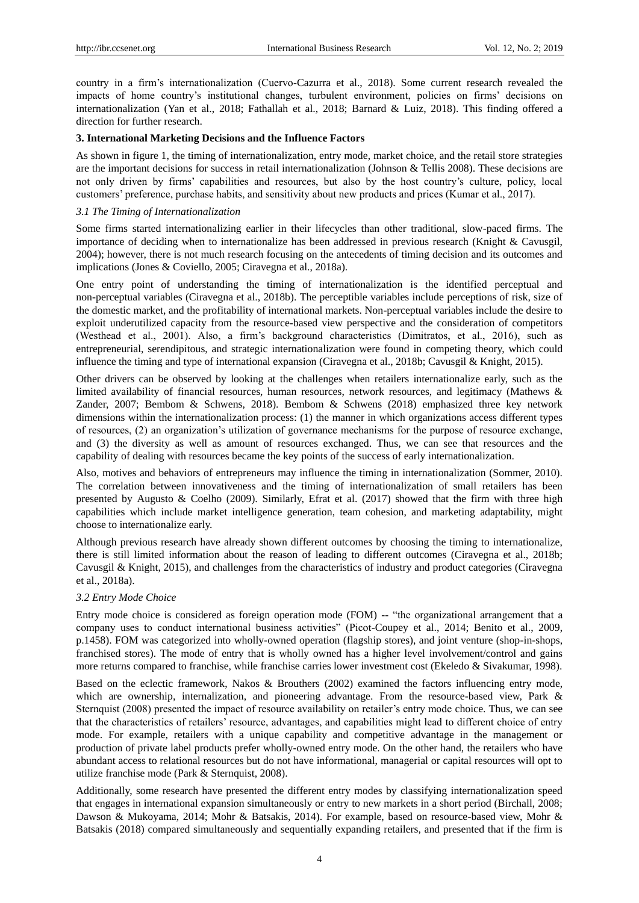country in a firm's internationalization (Cuervo-Cazurra et al., 2018). Some current research revealed the impacts of home country's institutional changes, turbulent environment, policies on firms' decisions on internationalization (Yan et al., 2018; Fathallah et al., 2018; Barnard & Luiz, 2018). This finding offered a direction for further research.

## **3. International Marketing Decisions and the Influence Factors**

As shown in figure 1, the timing of internationalization, entry mode, market choice, and the retail store strategies are the important decisions for success in retail internationalization (Johnson & Tellis 2008). These decisions are not only driven by firms' capabilities and resources, but also by the host country's culture, policy, local customers' preference, purchase habits, and sensitivity about new products and prices (Kumar et al., 2017).

## *3.1 The Timing of Internationalization*

Some firms started internationalizing earlier in their lifecycles than other traditional, slow-paced firms. The importance of deciding when to internationalize has been addressed in previous research (Knight & Cavusgil, 2004); however, there is not much research focusing on the antecedents of timing decision and its outcomes and implications (Jones & Coviello, 2005; Ciravegna et al., 2018a).

One entry point of understanding the timing of internationalization is the identified perceptual and non-perceptual variables (Ciravegna et al., 2018b). The perceptible variables include perceptions of risk, size of the domestic market, and the profitability of international markets. Non-perceptual variables include the desire to exploit underutilized capacity from the resource-based view perspective and the consideration of competitors (Westhead et al., 2001). Also, a firm's background characteristics (Dimitratos, et al., 2016), such as entrepreneurial, serendipitous, and strategic internationalization were found in competing theory, which could influence the timing and type of international expansion (Ciravegna et al., 2018b; Cavusgil & Knight, 2015).

Other drivers can be observed by looking at the challenges when retailers internationalize early, such as the limited availability of financial resources, human resources, network resources, and legitimacy (Mathews & Zander, 2007; Bembom & Schwens, 2018). Bembom & Schwens (2018) emphasized three key network dimensions within the internationalization process: (1) the manner in which organizations access different types of resources, (2) an organization's utilization of governance mechanisms for the purpose of resource exchange, and (3) the diversity as well as amount of resources exchanged. Thus, we can see that resources and the capability of dealing with resources became the key points of the success of early internationalization.

Also, motives and behaviors of entrepreneurs may influence the timing in internationalization (Sommer, 2010). The correlation between innovativeness and the timing of internationalization of small retailers has been presented by Augusto & Coelho (2009). Similarly, Efrat et al. (2017) showed that the firm with three high capabilities which include market intelligence generation, team cohesion, and marketing adaptability, might choose to internationalize early.

Although previous research have already shown different outcomes by choosing the timing to internationalize, there is still limited information about the reason of leading to different outcomes (Ciravegna et al., 2018b; Cavusgil & Knight, 2015), and challenges from the characteristics of industry and product categories (Ciravegna et al., 2018a).

## *3.2 Entry Mode Choice*

Entry mode choice is considered as foreign operation mode (FOM) -- "the organizational arrangement that a company uses to conduct international business activities" (Picot-Coupey et al., 2014; Benito et al., 2009, p.1458). FOM was categorized into wholly-owned operation (flagship stores), and joint venture (shop-in-shops, franchised stores). The mode of entry that is wholly owned has a higher level involvement/control and gains more returns compared to franchise, while franchise carries lower investment cost (Ekeledo & Sivakumar, 1998).

Based on the eclectic framework, Nakos & Brouthers (2002) examined the factors influencing entry mode, which are ownership, internalization, and pioneering advantage. From the resource-based view, Park & Sternquist (2008) presented the impact of resource availability on retailer's entry mode choice. Thus, we can see that the characteristics of retailers' resource, advantages, and capabilities might lead to different choice of entry mode. For example, retailers with a unique capability and competitive advantage in the management or production of private label products prefer wholly-owned entry mode. On the other hand, the retailers who have abundant access to relational resources but do not have informational, managerial or capital resources will opt to utilize franchise mode (Park & Sternquist, 2008).

Additionally, some research have presented the different entry modes by classifying internationalization speed that engages in international expansion simultaneously or entry to new markets in a short period (Birchall, 2008; Dawson & Mukoyama, 2014; Mohr & Batsakis, 2014). For example, based on resource-based view, Mohr & Batsakis (2018) compared simultaneously and sequentially expanding retailers, and presented that if the firm is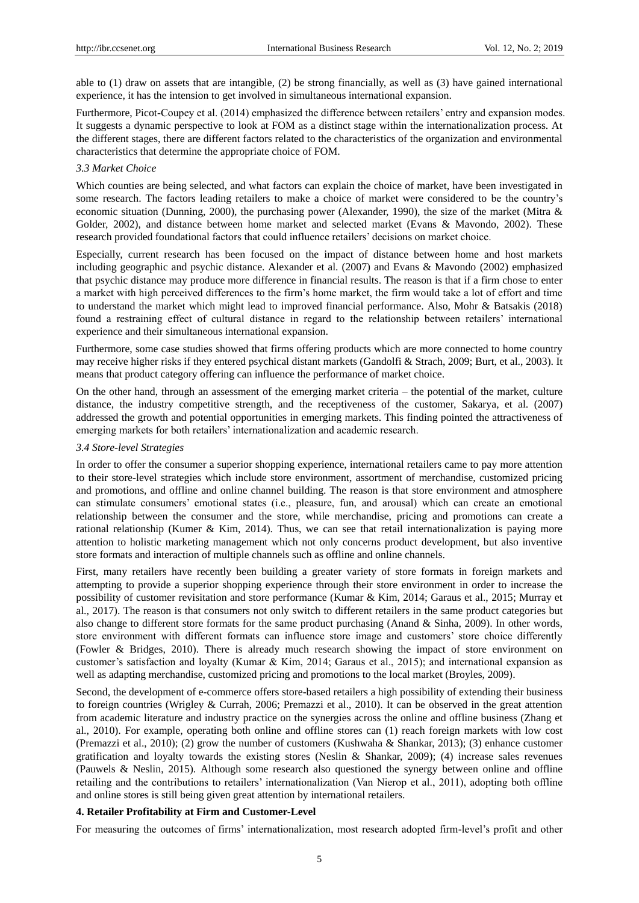able to (1) draw on assets that are intangible, (2) be strong financially, as well as (3) have gained international experience, it has the intension to get involved in simultaneous international expansion.

Furthermore, Picot-Coupey et al. (2014) emphasized the difference between retailers' entry and expansion modes. It suggests a dynamic perspective to look at FOM as a distinct stage within the internationalization process. At the different stages, there are different factors related to the characteristics of the organization and environmental characteristics that determine the appropriate choice of FOM.

### *3.3 Market Choice*

Which counties are being selected, and what factors can explain the choice of market, have been investigated in some research. The factors leading retailers to make a choice of market were considered to be the country's economic situation (Dunning, 2000), the purchasing power (Alexander, 1990), the size of the market (Mitra & Golder, 2002), and distance between home market and selected market (Evans & Mavondo, 2002). These research provided foundational factors that could influence retailers' decisions on market choice.

Especially, current research has been focused on the impact of distance between home and host markets including geographic and psychic distance. Alexander et al. (2007) and Evans & Mavondo (2002) emphasized that psychic distance may produce more difference in financial results. The reason is that if a firm chose to enter a market with high perceived differences to the firm's home market, the firm would take a lot of effort and time to understand the market which might lead to improved financial performance. Also, Mohr & Batsakis (2018) found a restraining effect of cultural distance in regard to the relationship between retailers' international experience and their simultaneous international expansion.

Furthermore, some case studies showed that firms offering products which are more connected to home country may receive higher risks if they entered psychical distant markets (Gandolfi & Strach, 2009; Burt, et al., 2003). It means that product category offering can influence the performance of market choice.

On the other hand, through an assessment of the emerging market criteria – the potential of the market, culture distance, the industry competitive strength, and the receptiveness of the customer, Sakarya, et al. (2007) addressed the growth and potential opportunities in emerging markets. This finding pointed the attractiveness of emerging markets for both retailers' internationalization and academic research.

#### *3.4 Store-level Strategies*

In order to offer the consumer a superior shopping experience, international retailers came to pay more attention to their store-level strategies which include store environment, assortment of merchandise, customized pricing and promotions, and offline and online channel building. The reason is that store environment and atmosphere can stimulate consumers' emotional states (i.e., pleasure, fun, and arousal) which can create an emotional relationship between the consumer and the store, while merchandise, pricing and promotions can create a rational relationship (Kumer & Kim, 2014). Thus, we can see that retail internationalization is paying more attention to holistic marketing management which not only concerns product development, but also inventive store formats and interaction of multiple channels such as offline and online channels.

First, many retailers have recently been building a greater variety of store formats in foreign markets and attempting to provide a superior shopping experience through their store environment in order to increase the possibility of customer revisitation and store performance (Kumar & Kim, 2014; Garaus et al., 2015; Murray et al., 2017). The reason is that consumers not only switch to different retailers in the same product categories but also change to different store formats for the same product purchasing (Anand & Sinha, 2009). In other words, store environment with different formats can influence store image and customers' store choice differently (Fowler & Bridges, 2010). There is already much research showing the impact of store environment on customer's satisfaction and loyalty (Kumar & Kim, 2014; Garaus et al., 2015); and international expansion as well as adapting merchandise, customized pricing and promotions to the local market (Broyles, 2009).

Second, the development of e-commerce offers store-based retailers a high possibility of extending their business to foreign countries (Wrigley & Currah, 2006; Premazzi et al., 2010). It can be observed in the great attention from academic literature and industry practice on the synergies across the online and offline business (Zhang et al., 2010). For example, operating both online and offline stores can (1) reach foreign markets with low cost (Premazzi et al., 2010); (2) grow the number of customers (Kushwaha & Shankar, 2013); (3) enhance customer gratification and loyalty towards the existing stores (Neslin & Shankar, 2009); (4) increase sales revenues (Pauwels & Neslin, 2015). Although some research also questioned the synergy between online and offline retailing and the contributions to retailers' internationalization (Van Nierop et al., 2011), adopting both offline and online stores is still being given great attention by international retailers.

## **4. Retailer Profitability at Firm and Customer-Level**

For measuring the outcomes of firms' internationalization, most research adopted firm-level's profit and other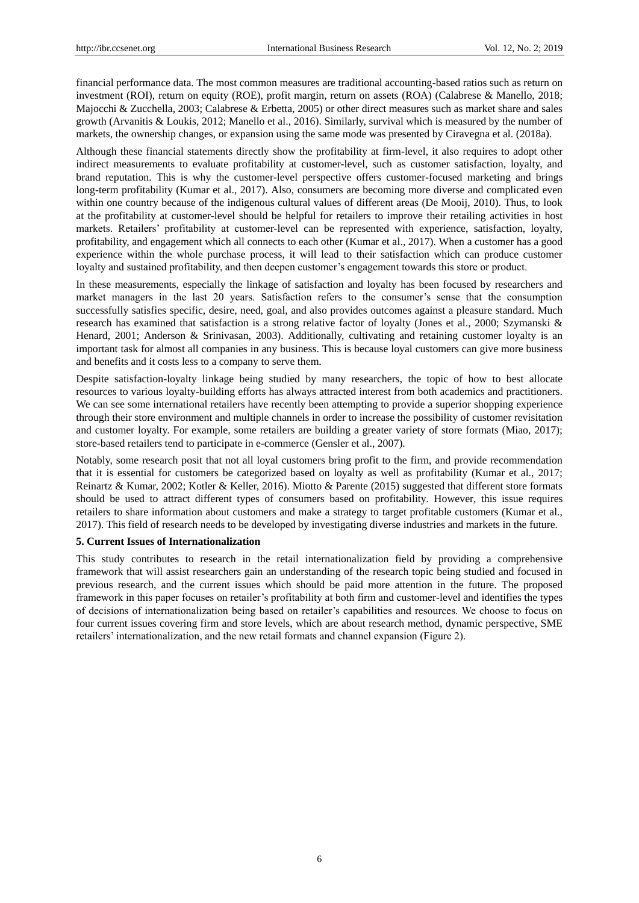financial performance data. The most common measures are traditional accounting-based ratios such as return on investment (ROI), return on equity (ROE), profit margin, return on assets (ROA) (Calabrese & Manello, 2018; Majocchi & Zucchella, 2003; Calabrese & Erbetta, 2005) or other direct measures such as market share and sales growth (Arvanitis & Loukis, 2012; Manello et al., 2016). Similarly, survival which is measured by the number of markets, the ownership changes, or expansion using the same mode was presented by Ciravegna et al. (2018a).

Although these financial statements directly show the profitability at firm-level, it also requires to adopt other indirect measurements to evaluate profitability at customer-level, such as customer satisfaction, loyalty, and brand reputation. This is why the customer-level perspective offers customer-focused marketing and brings long-term profitability (Kumar et al., 2017). Also, consumers are becoming more diverse and complicated even within one country because of the indigenous cultural values of different areas (De Mooij, 2010). Thus, to look at the profitability at customer-level should be helpful for retailers to improve their retailing activities in host markets. Retailers' profitability at customer-level can be represented with experience, satisfaction, loyalty, profitability, and engagement which all connects to each other (Kumar et al., 2017). When a customer has a good experience within the whole purchase process, it will lead to their satisfaction which can produce customer loyalty and sustained profitability, and then deepen customer's engagement towards this store or product.

In these measurements, especially the linkage of satisfaction and loyalty has been focused by researchers and market managers in the last 20 years. Satisfaction refers to the consumer's sense that the consumption successfully satisfies specific, desire, need, goal, and also provides outcomes against a pleasure standard. Much research has examined that satisfaction is a strong relative factor of loyalty (Jones et al., 2000; Szymanski & Henard, 2001; Anderson & Srinivasan, 2003). Additionally, cultivating and retaining customer loyalty is an important task for almost all companies in any business. This is because loyal customers can give more business and benefits and it costs less to a company to serve them.

Despite satisfaction-loyalty linkage being studied by many researchers, the topic of how to best allocate resources to various loyalty-building efforts has always attracted interest from both academics and practitioners. We can see some international retailers have recently been attempting to provide a superior shopping experience through their store environment and multiple channels in order to increase the possibility of customer revisitation and customer loyalty. For example, some retailers are building a greater variety of store formats (Miao, 2017); store-based retailers tend to participate in e-commerce (Gensler et al., 2007).

Notably, some research posit that not all loyal customers bring profit to the firm, and provide recommendation that it is essential for customers be categorized based on loyalty as well as profitability (Kumar et al., 2017; Reinartz & Kumar, 2002; Kotler & Keller, 2016). Miotto & Parente (2015) suggested that different store formats should be used to attract different types of consumers based on profitability. However, this issue requires retailers to share information about customers and make a strategy to target profitable customers (Kumar et al., 2017). This field of research needs to be developed by investigating diverse industries and markets in the future.

#### **5. Current Issues of Internationalization**

This study contributes to research in the retail internationalization field by providing a comprehensive framework that will assist researchers gain an understanding of the research topic being studied and focused in previous research, and the current issues which should be paid more attention in the future. The proposed framework in this paper focuses on retailer's profitability at both firm and customer-level and identifies the types of decisions of internationalization being based on retailer's capabilities and resources. We choose to focus on four current issues covering firm and store levels, which are about research method, dynamic perspective, SME retailers' internationalization, and the new retail formats and channel expansion (Figure 2).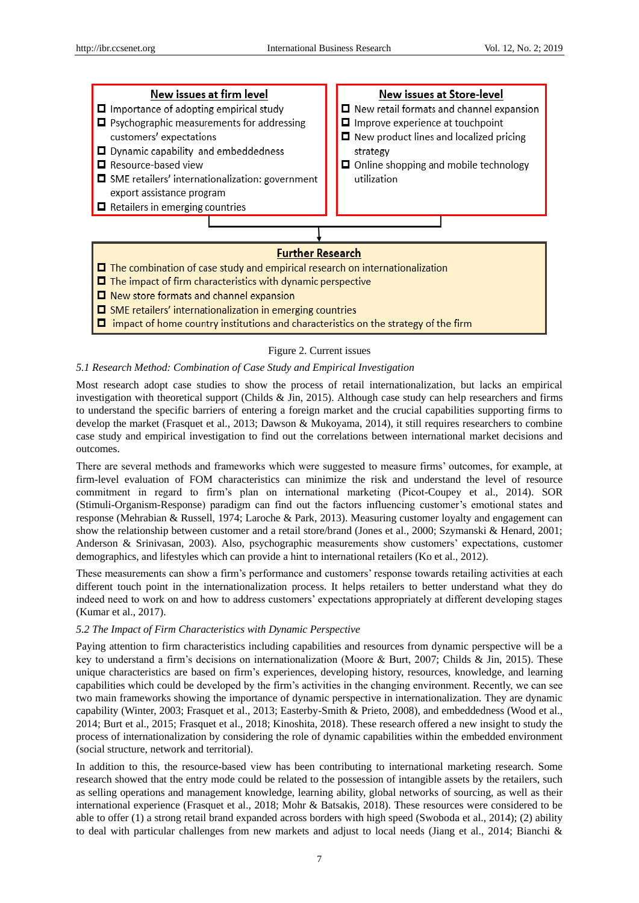

## Figure 2. Current issues

### *5.1 Research Method: Combination of Case Study and Empirical Investigation*

Most research adopt case studies to show the process of retail internationalization, but lacks an empirical investigation with theoretical support (Childs & Jin, 2015). Although case study can help researchers and firms to understand the specific barriers of entering a foreign market and the crucial capabilities supporting firms to develop the market (Frasquet et al., 2013; Dawson & Mukoyama, 2014), it still requires researchers to combine case study and empirical investigation to find out the correlations between international market decisions and outcomes.

There are several methods and frameworks which were suggested to measure firms' outcomes, for example, at firm-level evaluation of FOM characteristics can minimize the risk and understand the level of resource commitment in regard to firm's plan on international marketing (Picot-Coupey et al., 2014). SOR (Stimuli-Organism-Response) paradigm can find out the factors influencing customer's emotional states and response (Mehrabian & Russell, 1974; Laroche & Park, 2013). Measuring customer loyalty and engagement can show the relationship between customer and a retail store/brand (Jones et al., 2000; Szymanski & Henard, 2001; Anderson & Srinivasan, 2003). Also, psychographic measurements show customers' expectations, customer demographics, and lifestyles which can provide a hint to international retailers (Ko et al., 2012).

These measurements can show a firm's performance and customers' response towards retailing activities at each different touch point in the internationalization process. It helps retailers to better understand what they do indeed need to work on and how to address customers' expectations appropriately at different developing stages (Kumar et al., 2017).

#### *5.2 The Impact of Firm Characteristics with Dynamic Perspective*

Paying attention to firm characteristics including capabilities and resources from dynamic perspective will be a key to understand a firm's decisions on internationalization (Moore & Burt, 2007; Childs & Jin, 2015). These unique characteristics are based on firm's experiences, developing history, resources, knowledge, and learning capabilities which could be developed by the firm's activities in the changing environment. Recently, we can see two main frameworks showing the importance of dynamic perspective in internationalization. They are dynamic capability (Winter, 2003; Frasquet et al., 2013; Easterby-Smith & Prieto, 2008), and embeddedness (Wood et al., 2014; Burt et al., 2015; Frasquet et al., 2018; Kinoshita, 2018). These research offered a new insight to study the process of internationalization by considering the role of dynamic capabilities within the embedded environment (social structure, network and territorial).

In addition to this, the resource-based view has been contributing to international marketing research. Some research showed that the entry mode could be related to the possession of intangible assets by the retailers, such as selling operations and management knowledge, learning ability, global networks of sourcing, as well as their international experience (Frasquet et al., 2018; Mohr & Batsakis, 2018). These resources were considered to be able to offer (1) a strong retail brand expanded across borders with high speed (Swoboda et al., 2014); (2) ability to deal with particular challenges from new markets and adjust to local needs (Jiang et al., 2014; Bianchi &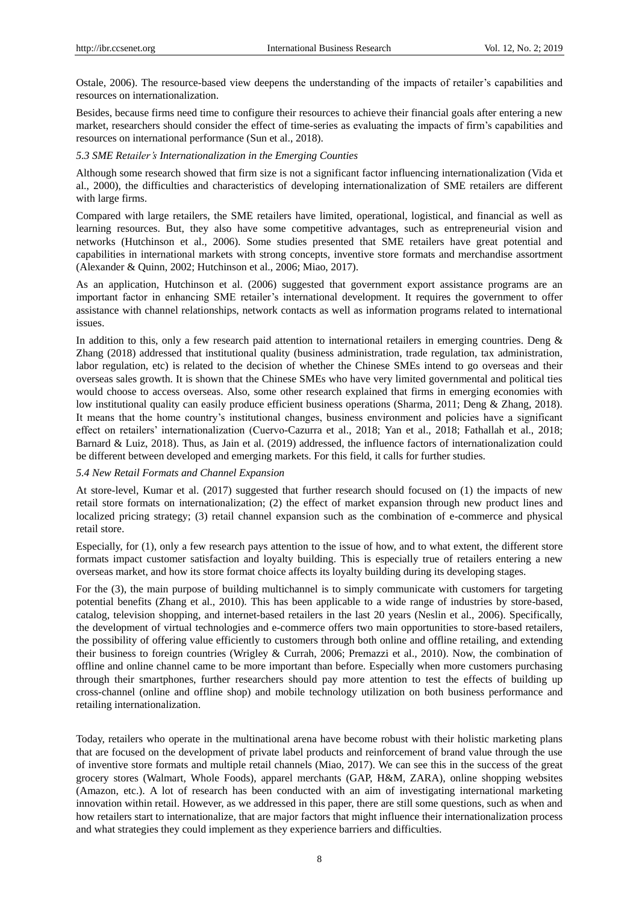Ostale, 2006). The resource-based view deepens the understanding of the impacts of retailer's capabilities and resources on internationalization.

Besides, because firms need time to configure their resources to achieve their financial goals after entering a new market, researchers should consider the effect of time-series as evaluating the impacts of firm's capabilities and resources on international performance (Sun et al., 2018).

### *5.3 SME Retailer's Internationalization in the Emerging Counties*

Although some research showed that firm size is not a significant factor influencing internationalization (Vida et al., 2000), the difficulties and characteristics of developing internationalization of SME retailers are different with large firms.

Compared with large retailers, the SME retailers have limited, operational, logistical, and financial as well as learning resources. But, they also have some competitive advantages, such as entrepreneurial vision and networks (Hutchinson et al., 2006). Some studies presented that SME retailers have great potential and capabilities in international markets with strong concepts, inventive store formats and merchandise assortment (Alexander & Quinn, 2002; Hutchinson et al., 2006; Miao, 2017).

As an application, Hutchinson et al. (2006) suggested that government export assistance programs are an important factor in enhancing SME retailer's international development. It requires the government to offer assistance with channel relationships, network contacts as well as information programs related to international issues.

In addition to this, only a few research paid attention to international retailers in emerging countries. Deng & Zhang (2018) addressed that institutional quality (business administration, trade regulation, tax administration, labor regulation, etc) is related to the decision of whether the Chinese SMEs intend to go overseas and their overseas sales growth. It is shown that the Chinese SMEs who have very limited governmental and political ties would choose to access overseas. Also, some other research explained that firms in emerging economies with low institutional quality can easily produce efficient business operations (Sharma, 2011; Deng & Zhang, 2018). It means that the home country's institutional changes, business environment and policies have a significant effect on retailers' internationalization (Cuervo-Cazurra et al., 2018; Yan et al., 2018; Fathallah et al., 2018; Barnard & Luiz, 2018). Thus, as Jain et al. (2019) addressed, the influence factors of internationalization could be different between developed and emerging markets. For this field, it calls for further studies.

#### *5.4 New Retail Formats and Channel Expansion*

At store-level, Kumar et al. (2017) suggested that further research should focused on (1) the impacts of new retail store formats on internationalization; (2) the effect of market expansion through new product lines and localized pricing strategy; (3) retail channel expansion such as the combination of e-commerce and physical retail store.

Especially, for (1), only a few research pays attention to the issue of how, and to what extent, the different store formats impact customer satisfaction and loyalty building. This is especially true of retailers entering a new overseas market, and how its store format choice affects its loyalty building during its developing stages.

For the (3), the main purpose of building multichannel is to simply communicate with customers for targeting potential benefits (Zhang et al., 2010). This has been applicable to a wide range of industries by store-based, catalog, television shopping, and internet-based retailers in the last 20 years (Neslin et al., 2006). Specifically, the development of virtual technologies and e-commerce offers two main opportunities to store-based retailers, the possibility of offering value efficiently to customers through both online and offline retailing, and extending their business to foreign countries (Wrigley & Currah, 2006; Premazzi et al., 2010). Now, the combination of offline and online channel came to be more important than before. Especially when more customers purchasing through their smartphones, further researchers should pay more attention to test the effects of building up cross-channel (online and offline shop) and mobile technology utilization on both business performance and retailing internationalization.

Today, retailers who operate in the multinational arena have become robust with their holistic marketing plans that are focused on the development of private label products and reinforcement of brand value through the use of inventive store formats and multiple retail channels (Miao, 2017). We can see this in the success of the great grocery stores (Walmart, Whole Foods), apparel merchants (GAP, H&M, ZARA), online shopping websites (Amazon, etc.). A lot of research has been conducted with an aim of investigating international marketing innovation within retail. However, as we addressed in this paper, there are still some questions, such as when and how retailers start to internationalize, that are major factors that might influence their internationalization process and what strategies they could implement as they experience barriers and difficulties.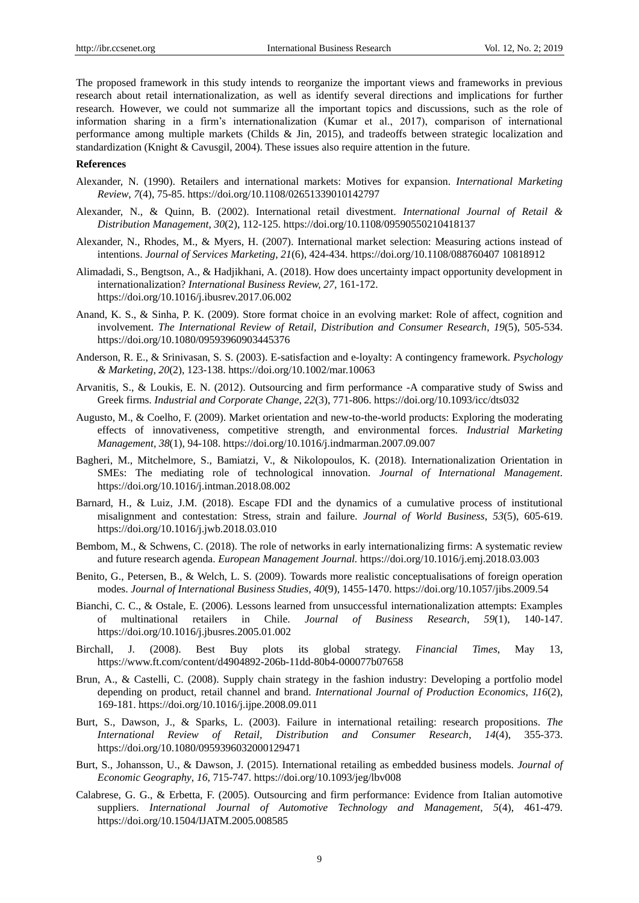The proposed framework in this study intends to reorganize the important views and frameworks in previous research about retail internationalization, as well as identify several directions and implications for further research. However, we could not summarize all the important topics and discussions, such as the role of information sharing in a firm's internationalization (Kumar et al., 2017), comparison of international performance among multiple markets (Childs & Jin, 2015), and tradeoffs between strategic localization and standardization (Knight & Cavusgil, 2004). These issues also require attention in the future.

#### **References**

- Alexander, N. (1990). Retailers and international markets: Motives for expansion. *International Marketing Review*, *7*(4), 75-85. https://doi.org/10.1108/02651339010142797
- Alexander, N., & Quinn, B. (2002). International retail divestment. *International Journal of Retail & Distribution Management*, *30*(2), 112-125. https://doi.org/10.1108/09590550210418137
- Alexander, N., Rhodes, M., & Myers, H. (2007). International market selection: Measuring actions instead of intentions. *Journal of Services Marketing*, *21*(6), 424-434. https://doi.org/10.1108/088760407 10818912
- Alimadadi, S., Bengtson, A., & Hadjikhani, A. (2018). How does uncertainty impact opportunity development in internationalization? *International Business Review, 27,* 161-172. https://doi.org/10.1016/j.ibusrev.2017.06.002
- Anand, K. S., & Sinha, P. K. (2009). Store format choice in an evolving market: Role of affect, cognition and involvement. *The International Review of Retail, Distribution and Consumer Research*, *19*(5), 505-534. https://doi.org/10.1080/09593960903445376
- Anderson, R. E., & Srinivasan, S. S. (2003). E-satisfaction and e-loyalty: A contingency framework. *Psychology & Marketing*, *20*(2), 123-138.<https://doi.org/10.1002/mar.10063>
- Arvanitis, S., & Loukis, E. N. (2012). Outsourcing and firm performance -A comparative study of Swiss and Greek firms. *Industrial and Corporate Change*, *22*(3), 771-806. https://doi.org/10.1093/icc/dts032
- Augusto, M., & Coelho, F. (2009). Market orientation and new-to-the-world products: Exploring the moderating effects of innovativeness, competitive strength, and environmental forces. *Industrial Marketing Management, 38*(1), 94-108. https://doi.org/10.1016/j.indmarman.2007.09.007
- Bagheri, M., Mitchelmore, S., Bamiatzi, V., & Nikolopoulos, K. (2018). Internationalization Orientation in SMEs: The mediating role of technological innovation. *Journal of International Management*. https://doi.org/10.1016/j.intman.2018.08.002
- Barnard, H., & Luiz, J.M. (2018). Escape FDI and the dynamics of a cumulative process of institutional misalignment and contestation: Stress, strain and failure. *Journal of World Business*, *53*(5), 605-619. https://doi.org/10.1016/j.jwb.2018.03.010
- Bembom, M., & Schwens, C. (2018). The role of networks in early internationalizing firms: A systematic review and future research agenda. *European Management Journal.* https://doi.org/10.1016/j.emj.2018.03.003
- Benito, G., Petersen, B., & Welch, L. S. (2009). Towards more realistic conceptualisations of foreign operation modes. *Journal of International Business Studies, 40*(9), 1455-1470. https://doi.org/10.1057/jibs.2009.54
- Bianchi, C. C., & Ostale, E. (2006). Lessons learned from unsuccessful internationalization attempts: Examples of multinational retailers in Chile. *Journal of Business Research*, *59*(1), 140-147. https://doi.org/10.1016/j.jbusres.2005.01.002
- Birchall, J. (2008). Best Buy plots its global strategy. *Financial Times*, May 13, https://www.ft.com/content/d4904892-206b-11dd-80b4-000077b07658
- Brun, A., & Castelli, C. (2008). Supply chain strategy in the fashion industry: Developing a portfolio model depending on product, retail channel and brand. *International Journal of Production Economics*, *116*(2), 169-181. https://doi.org/10.1016/j.ijpe.2008.09.011
- Burt, S., Dawson, J., & Sparks, L. (2003). Failure in international retailing: research propositions. *The International Review of Retail, Distribution and Consumer Research*, *14*(4), 355-373. https://doi.org/10.1080/0959396032000129471
- Burt, S., Johansson, U., & Dawson, J. (2015). International retailing as embedded business models. *Journal of Economic Geography*, *16,* 715-747. https://doi.org/10.1093/jeg/lbv008
- Calabrese, G. G., & Erbetta, F. (2005). Outsourcing and firm performance: Evidence from Italian automotive suppliers. *International Journal of Automotive Technology and Management*, *5*(4), 461-479. https://doi.org/10.1504/IJATM.2005.008585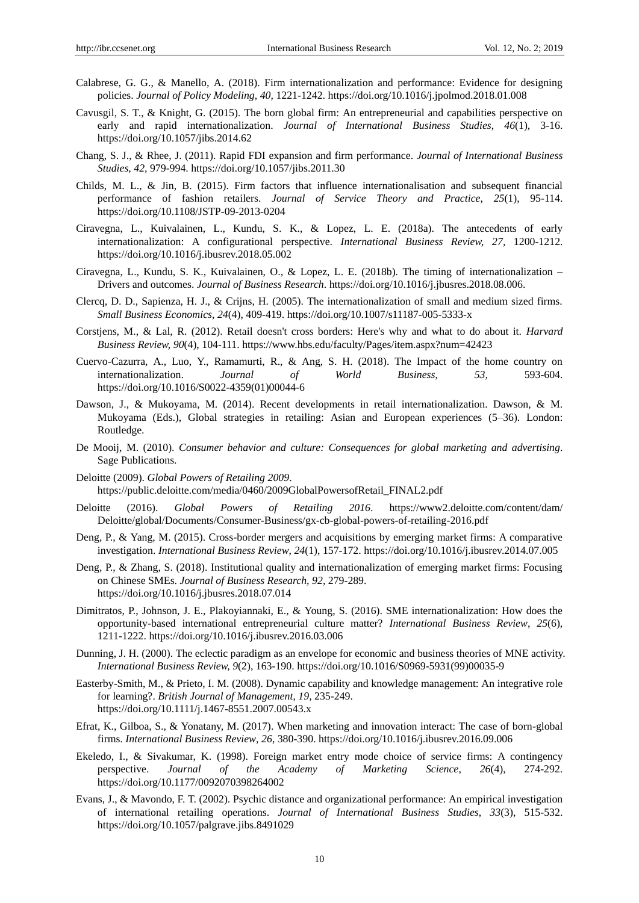- Calabrese, G. G., & Manello, A. (2018). Firm internationalization and performance: Evidence for designing policies. *Journal of Policy Modeling, 40,* 1221-1242. https://doi.org/10.1016/j.jpolmod.2018.01.008
- Cavusgil, S. T., & Knight, G. (2015). The born global firm: An entrepreneurial and capabilities perspective on early and rapid internationalization. *Journal of International Business Studies*, *46*(1), 3-16. https://doi.org/10.1057/jibs.2014.62
- Chang, S. J., & Rhee, J. (2011). Rapid FDI expansion and firm performance. *Journal of International Business Studies*, *42,* 979-994. https://doi.org/10.1057/jibs.2011.30
- Childs, M. L., & Jin, B. (2015). Firm factors that influence internationalisation and subsequent financial performance of fashion retailers. *Journal of Service Theory and Practice*, *25*(1), 95-114. https://doi.org/10.1108/JSTP-09-2013-0204
- Ciravegna, L., Kuivalainen, L., Kundu, S. K., & Lopez, L. E. (2018a). The antecedents of early internationalization: A configurational perspective. *International Business Review, 27,* 1200-1212. https://doi.org/10.1016/j.ibusrev.2018.05.002
- Ciravegna, L., Kundu, S. K., Kuivalainen, O., & Lopez, L. E. (2018b). The timing of internationalization Drivers and outcomes. *Journal of Business Research*. https://doi.org/10.1016/j.jbusres.2018.08.006.
- Clercq, D. D., Sapienza, H. J., & Crijns, H. (2005). The internationalization of small and medium sized firms. *Small Business Economics*, *24*(4), 409-419. https://doi.org/10.1007/s11187-005-5333-x
- Corstjens, M., & Lal, R. (2012). Retail doesn't cross borders: Here's why and what to do about it. *Harvard Business Review, 90*(4), 104-111. https://www.hbs.edu/faculty/Pages/item.aspx?num=42423
- Cuervo-Cazurra, A., Luo, Y., Ramamurti, R., & Ang, S. H. (2018). The Impact of the home country on internationalization. *Journal of World Business*, *53,* 593-604. https://doi.org/10.1016/S0022-4359(01)00044-6
- Dawson, J., & Mukoyama, M. (2014). Recent developments in retail internationalization. Dawson, & M. Mukoyama (Eds.), Global strategies in retailing: Asian and European experiences (5–36). London: Routledge.
- De Mooij, M. (2010). *Consumer behavior and culture: Consequences for global marketing and advertising*. Sage Publications.
- Deloitte (2009). *Global Powers of Retailing 2009*. https://public.deloitte.com/media/0460/2009GlobalPowersofRetail\_FINAL2.pdf
- Deloitte (2016). *Global Powers of Retailing 2016*. https://www2.deloitte.com/content/dam/ Deloitte/global/Documents/Consumer-Business/gx-cb-global-powers-of-retailing-2016.pdf
- Deng, P., & Yang, M. (2015). Cross-border mergers and acquisitions by emerging market firms: A comparative investigation. *International Business Review*, *24*(1), 157-172. https://doi.org/10.1016/j.ibusrev.2014.07.005
- Deng, P., & Zhang, S. (2018). Institutional quality and internationalization of emerging market firms: Focusing on Chinese SMEs. *Journal of Business Research, 92,* 279-289. https://doi.org/10.1016/j.jbusres.2018.07.014
- Dimitratos, P., Johnson, J. E., Plakoyiannaki, E., & Young, S. (2016). SME internationalization: How does the opportunity-based international entrepreneurial culture matter? *International Business Review*, *25*(6), 1211-1222. https://doi.org/10.1016/j.ibusrev.2016.03.006
- Dunning, J. H. (2000). The eclectic paradigm as an envelope for economic and business theories of MNE activity. *International Business Review, 9*(2), 163-190. https://doi.org/10.1016/S0969-5931(99)00035-9
- Easterby-Smith, M., & Prieto, I. M. (2008). Dynamic capability and knowledge management: An integrative role for learning?. *British Journal of Management*, *19,* 235-249. https://doi.org/10.1111/j.1467-8551.2007.00543.x
- Efrat, K., Gilboa, S., & Yonatany, M. (2017). When marketing and innovation interact: The case of born-global firms. *International Business Review*, *26*, 380-390. https://doi.org/10.1016/j.ibusrev.2016.09.006
- Ekeledo, I., & Sivakumar, K. (1998). Foreign market entry mode choice of service firms: A contingency perspective. *Journal of the Academy of Marketing Science*, *26*(4), 274-292. https://doi.org/10.1177/0092070398264002
- Evans, J., & Mavondo, F. T. (2002). Psychic distance and organizational performance: An empirical investigation of international retailing operations. *Journal of International Business Studies*, *33*(3), 515-532. https://doi.org/10.1057/palgrave.jibs.8491029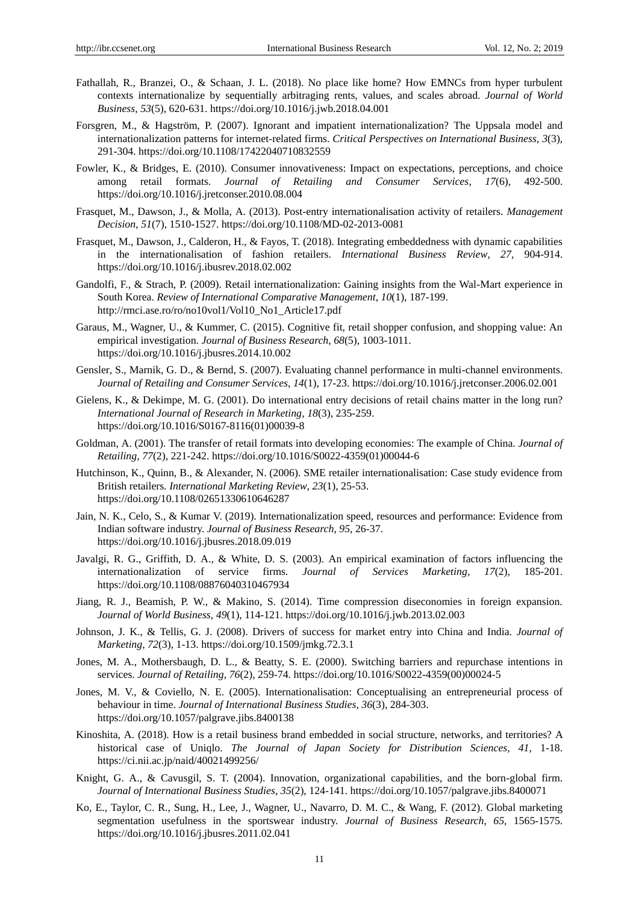- Fathallah, R., Branzei, O., & Schaan, J. L. (2018). No place like home? How EMNCs from hyper turbulent contexts internationalize by sequentially arbitraging rents, values, and scales abroad. *Journal of World Business*, *53*(5), 620-631. https://doi.org/10.1016/j.jwb.2018.04.001
- Forsgren, M., & Hagström, P. (2007). Ignorant and impatient internationalization? The Uppsala model and internationalization patterns for internet-related firms. *Critical Perspectives on International Business*, *3*(3), 291-304. https://doi.org/10.1108/17422040710832559
- Fowler, K., & Bridges, E. (2010). Consumer innovativeness: Impact on expectations, perceptions, and choice among retail formats. *Journal of Retailing and Consumer Services*, *17*(6), 492-500. https://doi.org/10.1016/j.jretconser.2010.08.004
- Frasquet, M., Dawson, J., & Molla, A. (2013). Post-entry internationalisation activity of retailers. *Management Decision*, *51*(7), 1510-1527. https://doi.org/10.1108/MD-02-2013-0081
- Frasquet, M., Dawson, J., Calderon, H., & Fayos, T. (2018). Integrating embeddedness with dynamic capabilities in the internationalisation of fashion retailers. *International Business Review*, *27,* 904-914. https://doi.org/10.1016/j.ibusrev.2018.02.002
- Gandolfi, F., & Strach, P. (2009). Retail internationalization: Gaining insights from the Wal-Mart experience in South Korea. *Review of International Comparative Management*, *10*(1), 187-199. http://rmci.ase.ro/ro/no10vol1/Vol10\_No1\_Article17.pdf
- Garaus, M., Wagner, U., & Kummer, C. (2015). Cognitive fit, retail shopper confusion, and shopping value: An empirical investigation. *Journal of Business Research*, *68*(5), 1003-1011. https://doi.org/10.1016/j.jbusres.2014.10.002
- Gensler, S., Marnik, G. D., & Bernd, S. (2007). Evaluating channel performance in multi-channel environments. *Journal of Retailing and Consumer Services*, *14*(1), 17-23. https://doi.org/10.1016/j.jretconser.2006.02.001
- Gielens, K., & Dekimpe, M. G. (2001). Do international entry decisions of retail chains matter in the long run? *International Journal of Research in Marketing*, *18*(3), 235-259. https://doi.org/10.1016/S0167-8116(01)00039-8
- Goldman, A. (2001). The transfer of retail formats into developing economies: The example of China. *Journal of Retailing, 77*(2), 221-242. https://doi.org/10.1016/S0022-4359(01)00044-6
- Hutchinson, K., Quinn, B., & Alexander, N. (2006). SME retailer internationalisation: Case study evidence from British retailers. *International Marketing Review*, *23*(1), 25-53. https://doi.org/10.1108/02651330610646287
- Jain, N. K., Celo, S., & Kumar V. (2019). Internationalization speed, resources and performance: Evidence from Indian software industry. *Journal of Business Research*, *95,* 26-37. https://doi.org/10.1016/j.jbusres.2018.09.019
- Javalgi, R. G., Griffith, D. A., & White, D. S. (2003). An empirical examination of factors influencing the internationalization of service firms. *Journal of Services Marketing*, *17*(2), 185-201. https://doi.org/10.1108/08876040310467934
- Jiang, R. J., Beamish, P. W., & Makino, S. (2014). Time compression diseconomies in foreign expansion. *Journal of World Business*, *49*(1), 114-121. https://doi.org/10.1016/j.jwb.2013.02.003
- Johnson, J. K., & Tellis, G. J. (2008). Drivers of success for market entry into China and India. *Journal of Marketing*, *72*(3), 1-13. https://doi.org/10.1509/jmkg.72.3.1
- Jones, M. A., Mothersbaugh, D. L., & Beatty, S. E. (2000). Switching barriers and repurchase intentions in services. *Journal of Retailing*, *76*(2), 259-74. https://doi.org/10.1016/S0022-4359(00)00024-5
- Jones, M. V., & Coviello, N. E. (2005). Internationalisation: Conceptualising an entrepreneurial process of behaviour in time. *Journal of International Business Studies*, *36*(3), 284-303. https://doi.org/10.1057/palgrave.jibs.8400138
- Kinoshita, A. (2018). How is a retail business brand embedded in social structure, networks, and territories? A historical case of Uniqlo. *The Journal of Japan Society for Distribution Sciences*, *41,* 1-18. https://ci.nii.ac.jp/naid/40021499256/
- Knight, G. A., & Cavusgil, S. T. (2004). Innovation, organizational capabilities, and the born-global firm. *Journal of International Business Studies*, *35*(2), 124-141. https://doi.org/10.1057/palgrave.jibs.8400071
- Ko, E., Taylor, C. R., Sung, H., Lee, J., Wagner, U., Navarro, D. M. C., & Wang, F. (2012). Global marketing segmentation usefulness in the sportswear industry. *Journal of Business Research, 65,* 1565-1575. https://doi.org/10.1016/j.jbusres.2011.02.041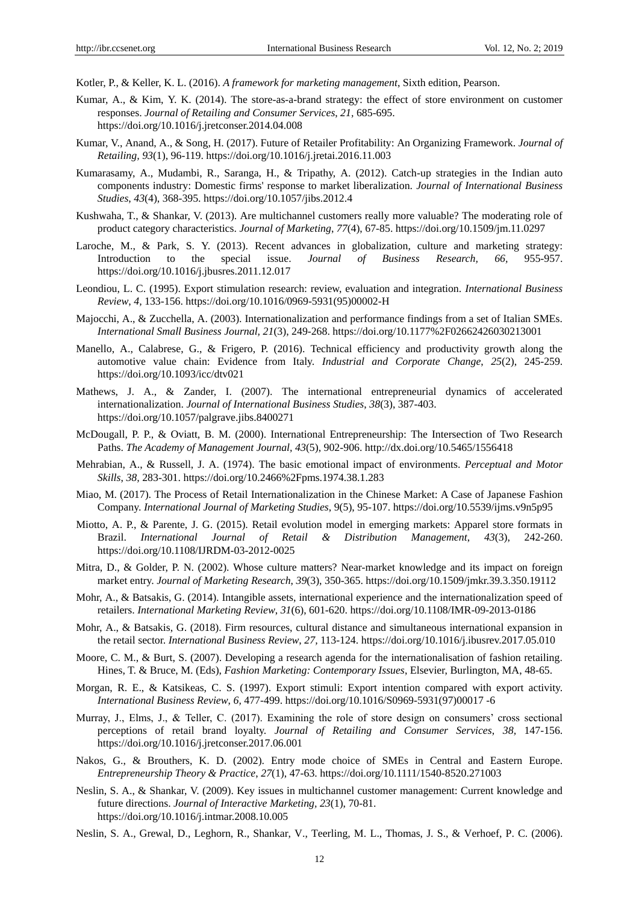Kotler, P., & Keller, K. L. (2016). *A framework for marketing management*, Sixth edition, Pearson.

- Kumar, A., & Kim, Y. K. (2014). The store-as-a-brand strategy: the effect of store environment on customer responses. *Journal of Retailing and Consumer Services*, *21,* 685-695. https://doi.org/10.1016/j.jretconser.2014.04.008
- Kumar, V., Anand, A., & Song, H. (2017). Future of Retailer Profitability: An Organizing Framework. *Journal of Retailing, 93*(1), 96-119. https://doi.org/10.1016/j.jretai.2016.11.003
- Kumarasamy, A., Mudambi, R., Saranga, H., & Tripathy, A. (2012). Catch-up strategies in the Indian auto components industry: Domestic firms' response to market liberalization. *Journal of International Business Studies*, *43*(4), 368-395. https://doi.org/10.1057/jibs.2012.4
- Kushwaha, T., & Shankar, V. (2013). Are multichannel customers really more valuable? The moderating role of product category characteristics. *Journal of Marketing*, *77*(4), 67-85. https://doi.org/10.1509/jm.11.0297
- Laroche, M., & Park, S. Y. (2013). Recent advances in globalization, culture and marketing strategy: Introduction to the special issue. *Journal of Business Research, 66,* 955-957. https://doi.org/10.1016/j.jbusres.2011.12.017
- Leondiou, L. C. (1995). Export stimulation research: review, evaluation and integration. *International Business Review*, *4,* 133-156. https://doi.org/10.1016/0969-5931(95)00002-H
- Majocchi, A., & Zucchella, A. (2003). Internationalization and performance findings from a set of Italian SMEs. *International Small Business Journal, 21*(3), 249-268. https://doi.org/10.1177%2F02662426030213001
- Manello, A., Calabrese, G., & Frigero, P. (2016). Technical efficiency and productivity growth along the automotive value chain: Evidence from Italy. *Industrial and Corporate Change*, *25*(2), 245-259. https://doi.org/10.1093/icc/dtv021
- Mathews, J. A., & Zander, I. (2007). The international entrepreneurial dynamics of accelerated internationalization. *Journal of International Business Studies*, *38*(3), 387-403. https://doi.org/10.1057/palgrave.jibs.8400271
- McDougall, P. P., & Oviatt, B. M. (2000). International Entrepreneurship: The Intersection of Two Research Paths. *The Academy of Management Journal, 43*(5), 902-906. http://dx.doi.org/10.5465/1556418
- Mehrabian, A., & Russell, J. A. (1974). The basic emotional impact of environments. *Perceptual and Motor Skills*, *38,* 283-301. https://doi.org/10.2466%2Fpms.1974.38.1.283
- Miao, M. (2017). The Process of Retail Internationalization in the Chinese Market: A Case of Japanese Fashion Company. *International Journal of Marketing Studies*, 9(5), 95-107. https://doi.org/10.5539/ijms.v9n5p95
- Miotto, A. P., & Parente, J. G. (2015). Retail evolution model in emerging markets: Apparel store formats in Brazil. *International Journal of Retail & Distribution Management*, *43*(3), 242-260. https://doi.org/10.1108/IJRDM-03-2012-0025
- Mitra, D., & Golder, P. N. (2002). Whose culture matters? Near-market knowledge and its impact on foreign market entry. *Journal of Marketing Research*, *39*(3), 350-365. https://doi.org/10.1509/jmkr.39.3.350.19112
- Mohr, A., & Batsakis, G. (2014). Intangible assets, international experience and the internationalization speed of retailers. *International Marketing Review*, *31*(6), 601-620. https://doi.org/10.1108/IMR-09-2013-0186
- Mohr, A., & Batsakis, G. (2018). Firm resources, cultural distance and simultaneous international expansion in the retail sector. *International Business Review*, *27,* 113-124. https://doi.org/10.1016/j.ibusrev.2017.05.010
- Moore, C. M., & Burt, S. (2007). Developing a research agenda for the internationalisation of fashion retailing. Hines, T. & Bruce, M. (Eds), *Fashion Marketing: Contemporary Issues*, Elsevier, Burlington, MA, 48-65.
- Morgan, R. E., & Katsikeas, C. S. (1997). Export stimuli: Export intention compared with export activity. *International Business Review*, *6,* 477-499. https://doi.org/10.1016/S0969-5931(97)00017 -6
- Murray, J., Elms, J., & Teller, C. (2017). Examining the role of store design on consumers' cross sectional perceptions of retail brand loyalty. *Journal of Retailing and Consumer Services*, *38,* 147-156. https://doi.org/10.1016/j.jretconser.2017.06.001
- Nakos, G., & Brouthers, K. D. (2002). Entry mode choice of SMEs in Central and Eastern Europe. *Entrepreneurship Theory & Practice*, *27*(1), 47-63. https://doi.org/10.1111/1540-8520.271003
- Neslin, S. A., & Shankar, V. (2009). Key issues in multichannel customer management: Current knowledge and future directions. *Journal of Interactive Marketing, 23*(1), 70-81. https://doi.org/10.1016/j.intmar.2008.10.005
- Neslin, S. A., Grewal, D., Leghorn, R., Shankar, V., Teerling, M. L., Thomas, J. S., & Verhoef, P. C. (2006).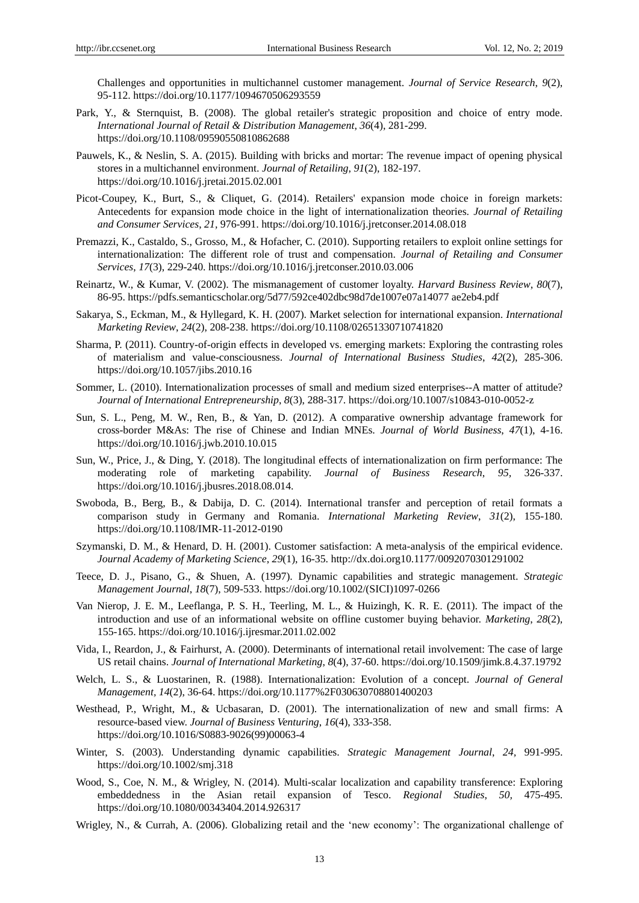Challenges and opportunities in multichannel customer management. *Journal of Service Research*, *9*(2), 95-112. https://doi.org/10.1177/1094670506293559

- Park, Y., & Sternquist, B. (2008). The global retailer's strategic proposition and choice of entry mode. *International Journal of Retail & Distribution Management*, *36*(4), 281-299. https://doi.org/10.1108/09590550810862688
- Pauwels, K., & Neslin, S. A. (2015). Building with bricks and mortar: The revenue impact of opening physical stores in a multichannel environment. *Journal of Retailing*, *91*(2), 182-197. https://doi.org/10.1016/j.jretai.2015.02.001
- Picot-Coupey, K., Burt, S., & Cliquet, G. (2014). Retailers' expansion mode choice in foreign markets: Antecedents for expansion mode choice in the light of internationalization theories. *Journal of Retailing and Consumer Services*, *21,* 976-991. https://doi.org/10.1016/j.jretconser.2014.08.018
- Premazzi, K., Castaldo, S., Grosso, M., & Hofacher, C. (2010). Supporting retailers to exploit online settings for internationalization: The different role of trust and compensation. *Journal of Retailing and Consumer Services*, *17*(3), 229-240. https://doi.org/10.1016/j.jretconser.2010.03.006
- Reinartz, W., & Kumar, V. (2002). The mismanagement of customer loyalty. *Harvard Business Review*, *80*(7), 86-95. https://pdfs.semanticscholar.org/5d77/592ce402dbc98d7de1007e07a14077 ae2eb4.pdf
- Sakarya, S., Eckman, M., & Hyllegard, K. H. (2007). Market selection for international expansion. *International Marketing Review*, *24*(2), 208-238. https://doi.org/10.1108/02651330710741820
- Sharma, P. (2011). Country-of-origin effects in developed vs. emerging markets: Exploring the contrasting roles of materialism and value-consciousness. *Journal of International Business Studies*, *42*(2), 285-306. https://doi.org/10.1057/jibs.2010.16
- Sommer, L. (2010). Internationalization processes of small and medium sized enterprises--A matter of attitude? *Journal of International Entrepreneurship*, *8*(3), 288-317. https://doi.org/10.1007/s10843-010-0052-z
- Sun, S. L., Peng, M. W., Ren, B., & Yan, D. (2012). A comparative ownership advantage framework for cross-border M&As: The rise of Chinese and Indian MNEs. *Journal of World Business*, *47*(1), 4-16. https://doi.org/10.1016/j.jwb.2010.10.015
- Sun, W., Price, J., & Ding, Y. (2018). The longitudinal effects of internationalization on firm performance: The moderating role of marketing capability. *Journal of Business Research*, *95,* 326-337. https://doi.org/10.1016/j.jbusres.2018.08.014.
- Swoboda, B., Berg, B., & Dabija, D. C. (2014). International transfer and perception of retail formats a comparison study in Germany and Romania. *International Marketing Review*, *31*(2), 155-180. https://doi.org/10.1108/IMR-11-2012-0190
- Szymanski, D. M., & Henard, D. H. (2001). Customer satisfaction: A meta-analysis of the empirical evidence. *Journal Academy of Marketing Science*, *29*(1), 16-35. http://dx.doi.org10.1177/0092070301291002
- Teece, D. J., Pisano, G., & Shuen, A. (1997). Dynamic capabilities and strategic management. *Strategic Management Journal*, *18*(7), 509-533. https://doi.org/10.1002/(SICI)1097-0266
- Van Nierop, J. E. M., Leeflanga, P. S. H., Teerling, M. L., & Huizingh, K. R. E. (2011). The impact of the introduction and use of an informational website on offline customer buying behavior. *Marketing*, *28*(2), 155-165. https://doi.org/10.1016/j.ijresmar.2011.02.002
- Vida, I., Reardon, J., & Fairhurst, A. (2000). Determinants of international retail involvement: The case of large US retail chains. *Journal of International Marketing*, *8*(4), 37-60. https://doi.org/10.1509/jimk.8.4.37.19792
- Welch, L. S., & Luostarinen, R. (1988). Internationalization: Evolution of a concept. *Journal of General Management, 14*(2), 36-64. https://doi.org/10.1177%2F030630708801400203
- Westhead, P., Wright, M., & Ucbasaran, D. (2001). The internationalization of new and small firms: A resource-based view. *Journal of Business Venturing*, *16*(4), 333-358. https://doi.org/10.1016/S0883-9026(99)00063-4
- Winter, S. (2003). Understanding dynamic capabilities. *Strategic Management Journal*, *24,* 991-995. https://doi.org/10.1002/smj.318
- Wood, S., Coe, N. M., & Wrigley, N. (2014). Multi-scalar localization and capability transference: Exploring embeddedness in the Asian retail expansion of Tesco. *Regional Studies*, *50,* 475-495. https://doi.org/10.1080/00343404.2014.926317
- Wrigley, N., & Currah, A. (2006). Globalizing retail and the 'new economy': The organizational challenge of